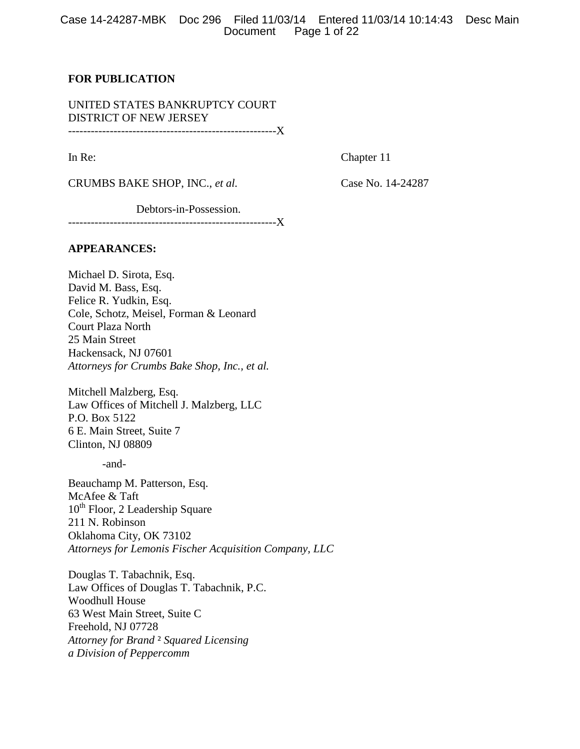## Case 14-24287-MBK Doc 296 Filed 11/03/14 Entered 11/03/14 10:14:43 Desc Main Document Page 1 of 22

## **FOR PUBLICATION**

UNITED STATES BANKRUPTCY COURT DISTRICT OF NEW JERSEY -------------------------------------------------------X

In Re: Chapter 11

CRUMBS BAKE SHOP, INC., *et al.* Case No. 14-24287

Debtors-in-Possession.

-------------------------------------------------------X

### **APPEARANCES:**

Michael D. Sirota, Esq. David M. Bass, Esq. Felice R. Yudkin, Esq. Cole, Schotz, Meisel, Forman & Leonard Court Plaza North 25 Main Street Hackensack, NJ 07601 *Attorneys for Crumbs Bake Shop, Inc., et al.*

Mitchell Malzberg, Esq. Law Offices of Mitchell J. Malzberg, LLC P.O. Box 5122 6 E. Main Street, Suite 7 Clinton, NJ 08809

-and-

Beauchamp M. Patterson, Esq. McAfee & Taft 10<sup>th</sup> Floor, 2 Leadership Square 211 N. Robinson Oklahoma City, OK 73102 *Attorneys for Lemonis Fischer Acquisition Company, LLC*

Douglas T. Tabachnik, Esq. Law Offices of Douglas T. Tabachnik, P.C. Woodhull House 63 West Main Street, Suite C Freehold, NJ 07728 *Attorney for Brand* ² *Squared Licensing a Division of Peppercomm*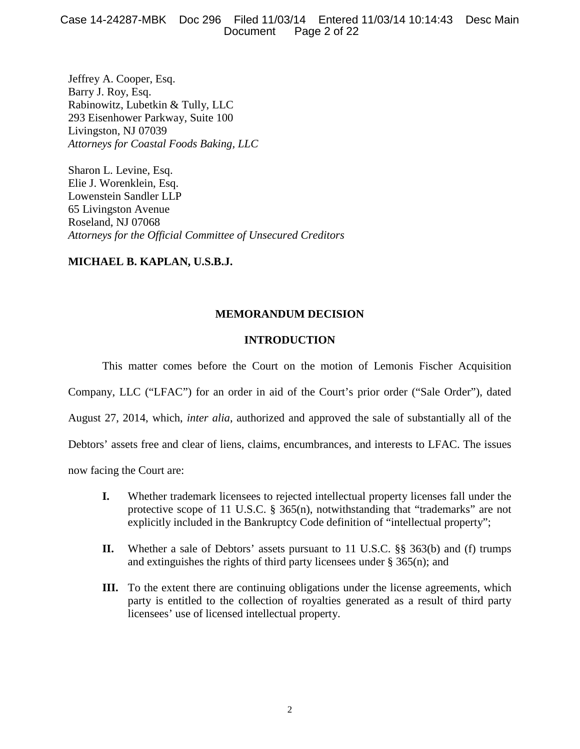Case 14-24287-MBK Doc 296 Filed 11/03/14 Entered 11/03/14 10:14:43 Desc Main Page 2 of 22

Jeffrey A. Cooper, Esq. Barry J. Roy, Esq. Rabinowitz, Lubetkin & Tully, LLC 293 Eisenhower Parkway, Suite 100 Livingston, NJ 07039 *Attorneys for Coastal Foods Baking, LLC* 

Sharon L. Levine, Esq. Elie J. Worenklein, Esq. Lowenstein Sandler LLP 65 Livingston Avenue Roseland, NJ 07068 *Attorneys for the Official Committee of Unsecured Creditors*

## **MICHAEL B. KAPLAN, U.S.B.J.**

## **MEMORANDUM DECISION**

## **INTRODUCTION**

This matter comes before the Court on the motion of Lemonis Fischer Acquisition Company, LLC ("LFAC") for an order in aid of the Court's prior order ("Sale Order"), dated August 27, 2014, which, *inter alia*, authorized and approved the sale of substantially all of the Debtors' assets free and clear of liens, claims, encumbrances, and interests to LFAC. The issues now facing the Court are:

- **I.** Whether trademark licensees to rejected intellectual property licenses fall under the protective scope of 11 U.S.C. § 365(n), notwithstanding that "trademarks" are not explicitly included in the Bankruptcy Code definition of "intellectual property";
- **II.** Whether a sale of Debtors' assets pursuant to 11 U.S.C. §§ 363(b) and (f) trumps and extinguishes the rights of third party licensees under § 365(n); and
- **III.** To the extent there are continuing obligations under the license agreements, which party is entitled to the collection of royalties generated as a result of third party licensees' use of licensed intellectual property.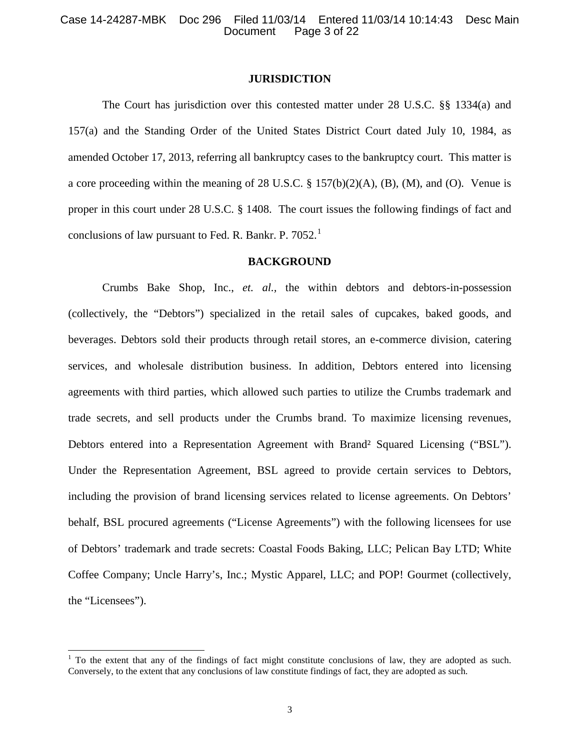## **JURISDICTION**

The Court has jurisdiction over this contested matter under 28 U.S.C. §§ 1334(a) and 157(a) and the Standing Order of the United States District Court dated July 10, 1984, as amended October 17, 2013, referring all bankruptcy cases to the bankruptcy court. This matter is a core proceeding within the meaning of 28 U.S.C. § 157(b)(2)(A), (B), (M), and (O). Venue is proper in this court under 28 U.S.C. § 1408. The court issues the following findings of fact and conclusions of law pursuant to Fed. R. Bankr. P.  $7052<sup>1</sup>$  $7052<sup>1</sup>$  $7052<sup>1</sup>$ 

## **BACKGROUND**

Crumbs Bake Shop, Inc., *et. al.,* the within debtors and debtors-in-possession (collectively, the "Debtors") specialized in the retail sales of cupcakes, baked goods, and beverages. Debtors sold their products through retail stores, an e-commerce division, catering services, and wholesale distribution business. In addition, Debtors entered into licensing agreements with third parties, which allowed such parties to utilize the Crumbs trademark and trade secrets, and sell products under the Crumbs brand. To maximize licensing revenues, Debtors entered into a Representation Agreement with Brand² Squared Licensing ("BSL"). Under the Representation Agreement, BSL agreed to provide certain services to Debtors, including the provision of brand licensing services related to license agreements. On Debtors' behalf, BSL procured agreements ("License Agreements") with the following licensees for use of Debtors' trademark and trade secrets: Coastal Foods Baking, LLC; Pelican Bay LTD; White Coffee Company; Uncle Harry's, Inc.; Mystic Apparel, LLC; and POP! Gourmet (collectively, the "Licensees").

<span id="page-2-0"></span><sup>&</sup>lt;sup>1</sup> To the extent that any of the findings of fact might constitute conclusions of law, they are adopted as such. Conversely, to the extent that any conclusions of law constitute findings of fact, they are adopted as such.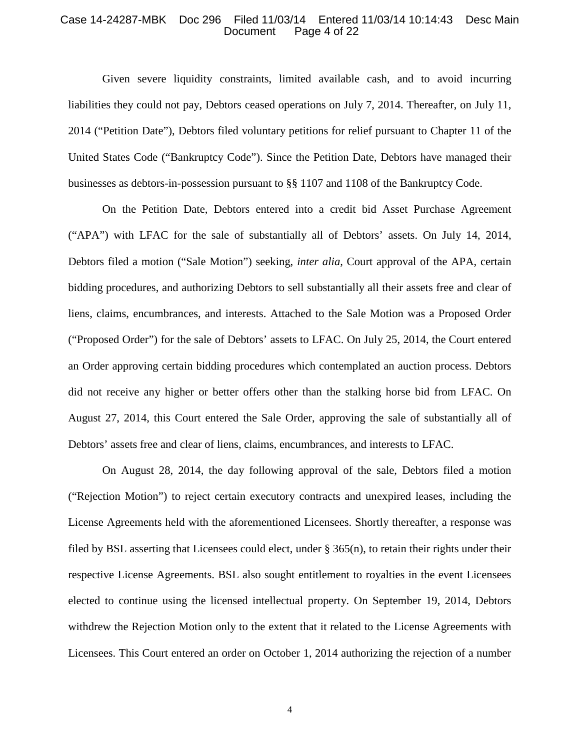#### Case 14-24287-MBK Doc 296 Filed 11/03/14 Entered 11/03/14 10:14:43 Desc Main Page 4 of 22

Given severe liquidity constraints, limited available cash, and to avoid incurring liabilities they could not pay, Debtors ceased operations on July 7, 2014. Thereafter, on July 11, 2014 ("Petition Date"), Debtors filed voluntary petitions for relief pursuant to Chapter 11 of the United States Code ("Bankruptcy Code"). Since the Petition Date, Debtors have managed their businesses as debtors-in-possession pursuant to §§ 1107 and 1108 of the Bankruptcy Code.

On the Petition Date, Debtors entered into a credit bid Asset Purchase Agreement ("APA") with LFAC for the sale of substantially all of Debtors' assets. On July 14, 2014, Debtors filed a motion ("Sale Motion") seeking, *inter alia,* Court approval of the APA, certain bidding procedures, and authorizing Debtors to sell substantially all their assets free and clear of liens, claims, encumbrances, and interests. Attached to the Sale Motion was a Proposed Order ("Proposed Order") for the sale of Debtors' assets to LFAC. On July 25, 2014, the Court entered an Order approving certain bidding procedures which contemplated an auction process. Debtors did not receive any higher or better offers other than the stalking horse bid from LFAC. On August 27, 2014, this Court entered the Sale Order, approving the sale of substantially all of Debtors' assets free and clear of liens, claims, encumbrances, and interests to LFAC.

On August 28, 2014, the day following approval of the sale, Debtors filed a motion ("Rejection Motion") to reject certain executory contracts and unexpired leases, including the License Agreements held with the aforementioned Licensees. Shortly thereafter, a response was filed by BSL asserting that Licensees could elect, under § 365(n), to retain their rights under their respective License Agreements. BSL also sought entitlement to royalties in the event Licensees elected to continue using the licensed intellectual property. On September 19, 2014, Debtors withdrew the Rejection Motion only to the extent that it related to the License Agreements with Licensees. This Court entered an order on October 1, 2014 authorizing the rejection of a number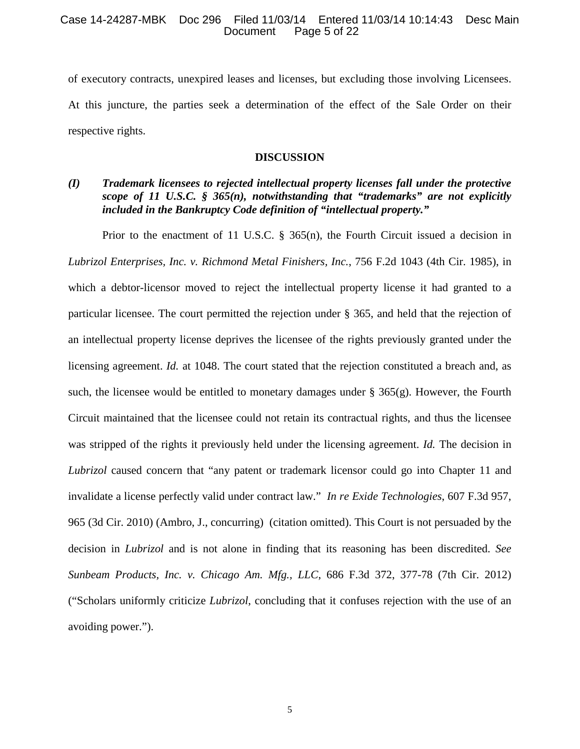#### Case 14-24287-MBK Doc 296 Filed 11/03/14 Entered 11/03/14 10:14:43 Desc Main Page 5 of 22

of executory contracts, unexpired leases and licenses, but excluding those involving Licensees. At this juncture, the parties seek a determination of the effect of the Sale Order on their respective rights.

#### **DISCUSSION**

# *(I) Trademark licensees to rejected intellectual property licenses fall under the protective scope of 11 U.S.C. § 365(n), notwithstanding that "trademarks" are not explicitly included in the Bankruptcy Code definition of "intellectual property."*

Prior to the enactment of 11 U.S.C. § 365(n), the Fourth Circuit issued a decision in *Lubrizol Enterprises, Inc. v. Richmond Metal Finishers, Inc.*, 756 F.2d 1043 (4th Cir. 1985), in which a debtor-licensor moved to reject the intellectual property license it had granted to a particular licensee. The court permitted the rejection under § 365, and held that the rejection of an intellectual property license deprives the licensee of the rights previously granted under the licensing agreement. *Id.* at 1048. The court stated that the rejection constituted a breach and, as such, the licensee would be entitled to monetary damages under  $\S 365(g)$ . However, the Fourth Circuit maintained that the licensee could not retain its contractual rights, and thus the licensee was stripped of the rights it previously held under the licensing agreement. *Id.* The decision in *Lubrizol* caused concern that "any patent or trademark licensor could go into Chapter 11 and invalidate a license perfectly valid under contract law." *In re Exide Technologies*, 607 F.3d 957, 965 (3d Cir. 2010) (Ambro, J., concurring) (citation omitted). This Court is not persuaded by the decision in *Lubrizol* and is not alone in finding that its reasoning has been discredited. *See Sunbeam Products, Inc. v. Chicago Am. Mfg., LLC*, 686 F.3d 372, 377-78 (7th Cir. 2012) ("Scholars uniformly criticize *Lubrizol*, concluding that it confuses rejection with the use of an avoiding power.").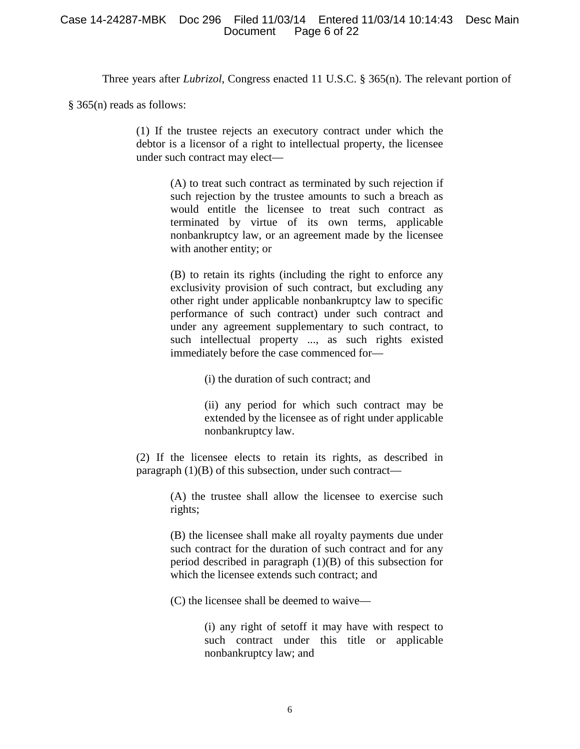## Case 14-24287-MBK Doc 296 Filed 11/03/14 Entered 11/03/14 10:14:43 Desc Main Page 6 of 22

Three years after *Lubrizol*, Congress enacted 11 U.S.C. § 365(n). The relevant portion of

§ 365(n) reads as follows:

(1) If the trustee rejects an executory contract under which the debtor is a licensor of a right to intellectual property, the licensee under such contract may elect—

> (A) to treat such contract as terminated by such rejection if such rejection by the trustee amounts to such a breach as would entitle the licensee to treat such contract as terminated by virtue of its own terms, applicable nonbankruptcy law, or an agreement made by the licensee with another entity; or

> (B) to retain its rights (including the right to enforce any exclusivity provision of such contract, but excluding any other right under applicable nonbankruptcy law to specific performance of such contract) under such contract and under any agreement supplementary to such contract, to such intellectual property ..., as such rights existed immediately before the case commenced for—

> > (i) the duration of such contract; and

(ii) any period for which such contract may be extended by the licensee as of right under applicable nonbankruptcy law.

(2) If the licensee elects to retain its rights, as described in paragraph (1)(B) of this subsection, under such contract—

> (A) the trustee shall allow the licensee to exercise such rights;

> (B) the licensee shall make all royalty payments due under such contract for the duration of such contract and for any period described in paragraph (1)(B) of this subsection for which the licensee extends such contract; and

(C) the licensee shall be deemed to waive—

(i) any right of setoff it may have with respect to such contract under this title or applicable nonbankruptcy law; and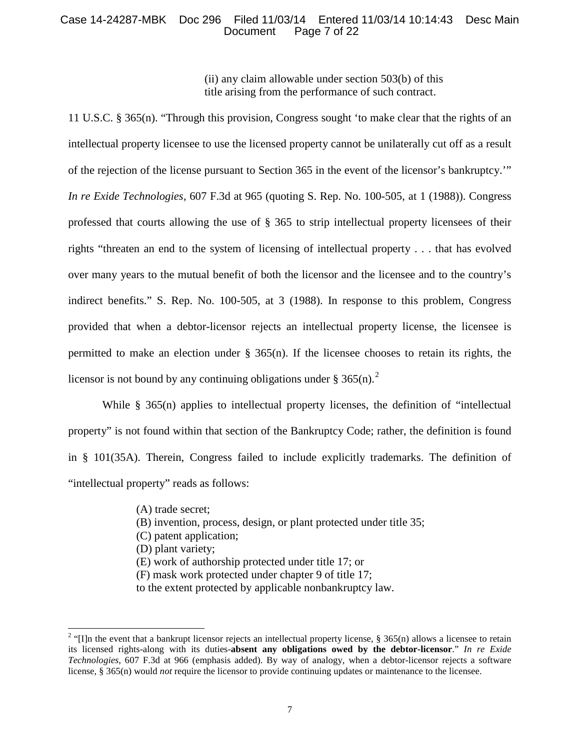## Case 14-24287-MBK Doc 296 Filed 11/03/14 Entered 11/03/14 10:14:43 Desc Main Page 7 of 22

(ii) any claim allowable under [section 503\(b\)](https://a.next.westlaw.com/Link/Document/FullText?findType=L&pubNum=1000546&cite=11USCAS503&originationContext=document&transitionType=DocumentItem&contextData=%28sc.DocLink%29#co_pp_a83b000018c76) of this title arising from the performance of such contract.

11 U.S.C. § 365(n). "Through this provision, Congress sought 'to make clear that the rights of an intellectual property licensee to use the licensed property cannot be unilaterally cut off as a result of the rejection of the license pursuant to Section 365 in the event of the licensor's bankruptcy.'" *In re Exide Technologies,* 607 F.3d at 965 (quoting S. Rep. No. 100-505, at 1 (1988)). Congress professed that courts allowing the use of § 365 to strip intellectual property licensees of their rights "threaten an end to the system of licensing of intellectual property . . . that has evolved over many years to the mutual benefit of both the licensor and the licensee and to the country's indirect benefits." S. Rep. No. 100-505, at 3 (1988). In response to this problem, Congress provided that when a debtor-licensor rejects an intellectual property license, the licensee is permitted to make an election under  $\S$  365(n). If the licensee chooses to retain its rights, the licensor is not bound by any continuing obligations under § 365(n).<sup>[2](#page-6-0)</sup>

While § 365(n) applies to intellectual property licenses, the definition of "intellectual property" is not found within that section of the Bankruptcy Code; rather, the definition is found in § 101(35A). Therein, Congress failed to include explicitly trademarks. The definition of "intellectual property" reads as follows:

(A) trade secret;

- (B) invention, process, design, or plant protected under title 35;
- (C) patent application;
- (D) plant variety;
- (E) work of authorship protected under title 17; or
- (F) mask work protected under chapter 9 of title 17;
- to the extent protected by applicable nonbankruptcy law.

<span id="page-6-0"></span><sup>&</sup>lt;sup>2</sup> "[I]n the event that a bankrupt licensor rejects an intellectual property license, § 365(n) allows a licensee to retain its licensed rights-along with its duties-**absent any obligations owed by the debtor-licensor**." *In re Exide Technologies*, 607 F.3d at 966 (emphasis added). By way of analogy, when a debtor-licensor rejects a software license, § 365(n) would *not* require the licensor to provide continuing updates or maintenance to the licensee.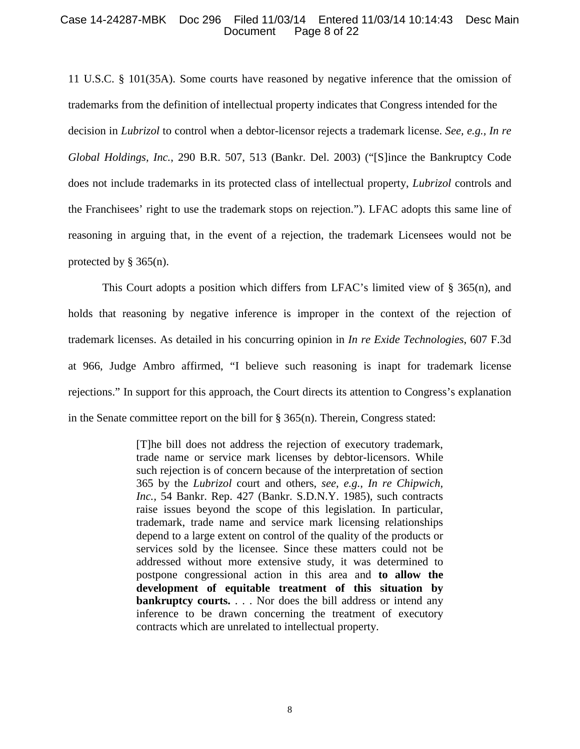#### Case 14-24287-MBK Doc 296 Filed 11/03/14 Entered 11/03/14 10:14:43 Desc Main Page 8 of 22

11 U.S.C. § 101(35A). Some courts have reasoned by negative inference that the omission of trademarks from the definition of intellectual property indicates that Congress intended for the decision in *Lubrizol* to control when a debtor-licensor rejects a trademark license. *See, e.g., In re Global Holdings, Inc.*, 290 B.R. 507, 513 (Bankr. Del. 2003) ("[S]ince the Bankruptcy Code does not include trademarks in its protected class of intellectual property, *Lubrizol* controls and the Franchisees' right to use the trademark stops on rejection."). LFAC adopts this same line of reasoning in arguing that, in the event of a rejection, the trademark Licensees would not be protected by  $\S$  365(n).

This Court adopts a position which differs from LFAC's limited view of § 365(n), and holds that reasoning by negative inference is improper in the context of the rejection of trademark licenses. As detailed in his concurring opinion in *In re Exide Technologies*, 607 F.3d at 966, Judge Ambro affirmed, "I believe such reasoning is inapt for trademark license rejections." In support for this approach, the Court directs its attention to Congress's explanation in the Senate committee report on the bill for  $\S 365(n)$ . Therein, Congress stated:

> [T]he bill does not address the rejection of executory trademark, trade name or service mark licenses by debtor-licensors. While such rejection is of concern because of the interpretation of section 365 by the *Lubrizol* court and others, *see, e.g., In re Chipwich, Inc.,* 54 Bankr. Rep. 427 (Bankr. S.D.N.Y. 1985), such contracts raise issues beyond the scope of this legislation. In particular, trademark, trade name and service mark licensing relationships depend to a large extent on control of the quality of the products or services sold by the licensee. Since these matters could not be addressed without more extensive study, it was determined to postpone congressional action in this area and **to allow the development of equitable treatment of this situation by bankruptcy courts.** . . . Nor does the bill address or intend any inference to be drawn concerning the treatment of executory contracts which are unrelated to intellectual property.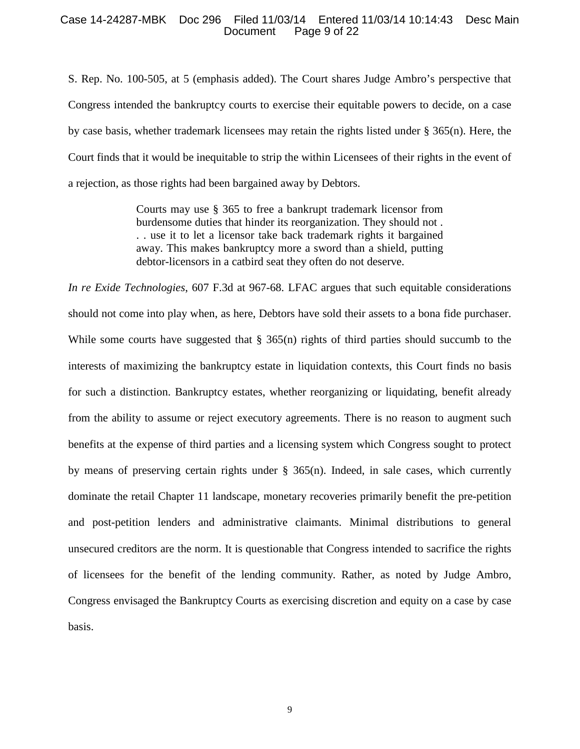#### Case 14-24287-MBK Doc 296 Filed 11/03/14 Entered 11/03/14 10:14:43 Desc Main Page 9 of 22

S. Rep. No. 100-505, at 5 (emphasis added). The Court shares Judge Ambro's perspective that Congress intended the bankruptcy courts to exercise their equitable powers to decide, on a case by case basis, whether trademark licensees may retain the rights listed under § 365(n). Here, the Court finds that it would be inequitable to strip the within Licensees of their rights in the event of a rejection, as those rights had been bargained away by Debtors.

> Courts may use § 365 to free a bankrupt trademark licensor from burdensome duties that hinder its reorganization. They should not . . . use it to let a licensor take back trademark rights it bargained away. This makes bankruptcy more a sword than a shield, putting debtor-licensors in a catbird seat they often do not deserve.

*In re Exide Technologies*, 607 F.3d at 967-68. LFAC argues that such equitable considerations should not come into play when, as here, Debtors have sold their assets to a bona fide purchaser. While some courts have suggested that § 365(n) rights of third parties should succumb to the interests of maximizing the bankruptcy estate in liquidation contexts, this Court finds no basis for such a distinction. Bankruptcy estates, whether reorganizing or liquidating, benefit already from the ability to assume or reject executory agreements. There is no reason to augment such benefits at the expense of third parties and a licensing system which Congress sought to protect by means of preserving certain rights under § 365(n). Indeed, in sale cases, which currently dominate the retail Chapter 11 landscape, monetary recoveries primarily benefit the pre-petition and post-petition lenders and administrative claimants. Minimal distributions to general unsecured creditors are the norm. It is questionable that Congress intended to sacrifice the rights of licensees for the benefit of the lending community. Rather, as noted by Judge Ambro, Congress envisaged the Bankruptcy Courts as exercising discretion and equity on a case by case basis.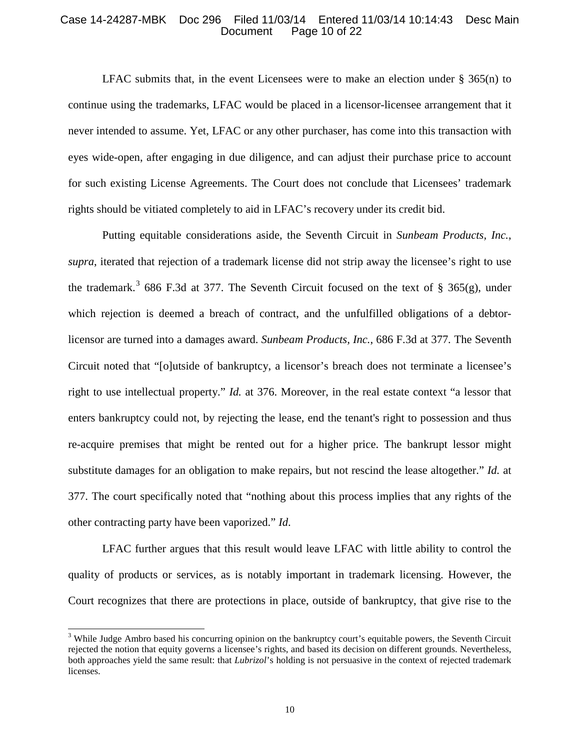#### Case 14-24287-MBK Doc 296 Filed 11/03/14 Entered 11/03/14 10:14:43 Desc Main Page 10 of  $22$

LFAC submits that, in the event Licensees were to make an election under  $\S$  365(n) to continue using the trademarks, LFAC would be placed in a licensor-licensee arrangement that it never intended to assume. Yet, LFAC or any other purchaser, has come into this transaction with eyes wide-open, after engaging in due diligence, and can adjust their purchase price to account for such existing License Agreements. The Court does not conclude that Licensees' trademark rights should be vitiated completely to aid in LFAC's recovery under its credit bid.

Putting equitable considerations aside, the Seventh Circuit in *Sunbeam Products, Inc.*, *supra*, iterated that rejection of a trademark license did not strip away the licensee's right to use the trademark.<sup>[3](#page-9-0)</sup> 686 F.3d at 377. The Seventh Circuit focused on the text of  $\S$  365(g), under which rejection is deemed a breach of contract, and the unfulfilled obligations of a debtorlicensor are turned into a damages award. *Sunbeam Products, Inc.*, 686 F.3d at 377*.* The Seventh Circuit noted that "[o]utside of bankruptcy, a licensor's breach does not terminate a licensee's right to use intellectual property." *Id.* at 376. Moreover, in the real estate context "a lessor that enters bankruptcy could not, by rejecting the lease, end the tenant's right to possession and thus re-acquire premises that might be rented out for a higher price. The bankrupt lessor might substitute damages for an obligation to make repairs, but not rescind the lease altogether." *Id.* at 377. The court specifically noted that "nothing about this process implies that any rights of the other contracting party have been vaporized." *Id*.

LFAC further argues that this result would leave LFAC with little ability to control the quality of products or services, as is notably important in trademark licensing. However, the Court recognizes that there are protections in place, outside of bankruptcy, that give rise to the

<span id="page-9-0"></span><sup>&</sup>lt;sup>3</sup> While Judge Ambro based his concurring opinion on the bankruptcy court's equitable powers, the Seventh Circuit rejected the notion that equity governs a licensee's rights, and based its decision on different grounds. Nevertheless, both approaches yield the same result: that *Lubrizol*'s holding is not persuasive in the context of rejected trademark licenses.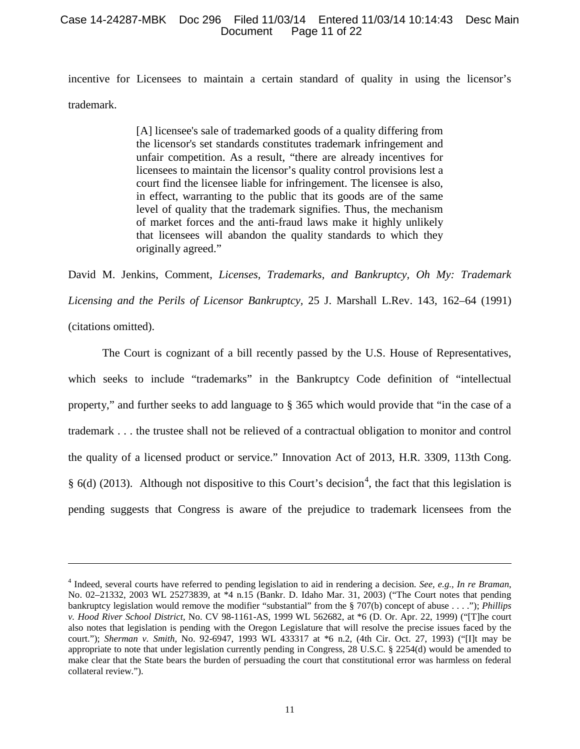### Case 14-24287-MBK Doc 296 Filed 11/03/14 Entered 11/03/14 10:14:43 Desc Main Page 11 of 22

incentive for Licensees to maintain a certain standard of quality in using the licensor's trademark.

> [A] licensee's sale of trademarked goods of a quality differing from the licensor's set standards constitutes trademark infringement and unfair competition. As a result, "there are already incentives for licensees to maintain the licensor's quality control provisions lest a court find the licensee liable for infringement. The licensee is also, in effect, warranting to the public that its goods are of the same level of quality that the trademark signifies. Thus, the mechanism of market forces and the anti-fraud laws make it highly unlikely that licensees will abandon the quality standards to which they originally agreed."

David M. Jenkins, Comment, *[Licenses, Trademarks, and](https://a.next.westlaw.com/Link/Document/FullText?findType=Y&serNum=0101977743&pubNum=1176&fi=co_pp_sp_1176_149&originationContext=document&transitionType=DocumentItem&contextData=%28sc.Keycite%29#co_pp_sp_1176_149) Bankruptcy, Oh My: Trademark Licensing and the Perils of Licensor Bankruptcy,* 25 J. Marshall [L.Rev. 143, 162–64](https://a.next.westlaw.com/Link/Document/FullText?findType=Y&serNum=0101977743&pubNum=1176&fi=co_pp_sp_1176_149&originationContext=document&transitionType=DocumentItem&contextData=%28sc.Keycite%29#co_pp_sp_1176_149) (1991) (citations omitted).

The Court is cognizant of a bill recently passed by the U.S. House of Representatives, which seeks to include "trademarks" in the Bankruptcy Code definition of "intellectual property," and further seeks to add language to § 365 which would provide that "in the case of a trademark . . . the trustee shall not be relieved of a contractual obligation to monitor and control the quality of a licensed product or service." Innovation Act of 2013, H.R. 3309, 113th Cong. § 6(d) (2013). Although not dispositive to this Court's decision<sup>[4](#page-10-0)</sup>, the fact that this legislation is pending suggests that Congress is aware of the prejudice to trademark licensees from the

 $\overline{a}$ 

<span id="page-10-0"></span><sup>4</sup> Indeed, several courts have referred to pending legislation to aid in rendering a decision. *See, e.g., In re Braman*, No. 02–21332, 2003 WL 25273839, at \*4 n.15 (Bankr. D. Idaho Mar. 31, 2003) ("The Court notes that pending bankruptcy legislation would remove the modifier "substantial" from the § 707(b) concept of abuse . . . ."); *Phillips v. Hood River School District*, No. CV 98-1161-AS, 1999 WL 562682, at \*6 (D. Or. Apr. 22, 1999) ("[T]he court also notes that legislation is pending with the Oregon Legislature that will resolve the precise issues faced by the court."); *Sherman v. Smith,* No. 92-6947, 1993 WL 433317 at \*6 n.2, (4th Cir. Oct. 27, 1993) ("[I]t may be appropriate to note that under legislation currently pending in Congress, 28 U.S.C. § 2254(d) would be amended to make clear that the State bears the burden of persuading the court that constitutional error was harmless on federal collateral review.").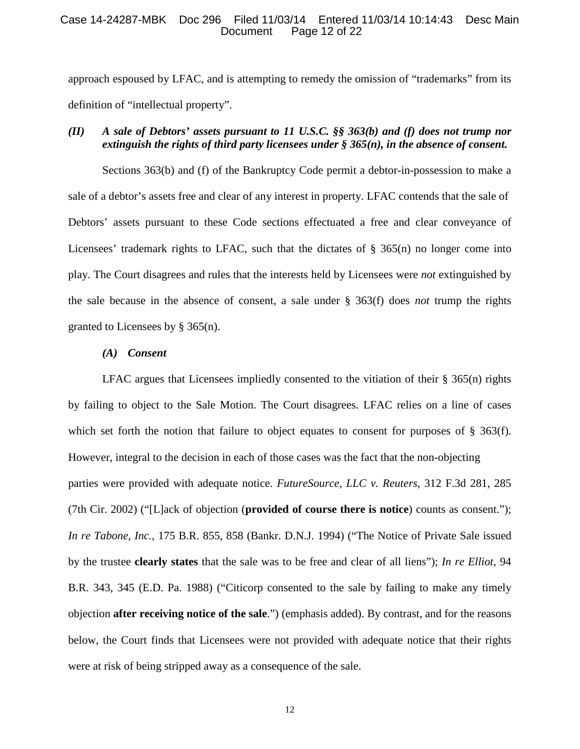#### Case 14-24287-MBK Doc 296 Filed 11/03/14 Entered 11/03/14 10:14:43 Desc Main Page 12 of 22

approach espoused by LFAC, and is attempting to remedy the omission of "trademarks" from its definition of "intellectual property".

# *(II) A sale of Debtors' assets pursuant to 11 U.S.C. §§ 363(b) and (f) does not trump nor extinguish the rights of third party licensees under § 365(n), in the absence of consent.*

Sections 363(b) and (f) of the Bankruptcy Code permit a debtor-in-possession to make a sale of a debtor's assets free and clear of any interest in property. LFAC contends that the sale of Debtors' assets pursuant to these Code sections effectuated a free and clear conveyance of Licensees' trademark rights to LFAC, such that the dictates of  $\S$  365(n) no longer come into play. The Court disagrees and rules that the interests held by Licensees were *not* extinguished by the sale because in the absence of consent, a sale under § 363(f) does *not* trump the rights granted to Licensees by § 365(n).

## *(A) Consent*

LFAC argues that Licensees impliedly consented to the vitiation of their § 365(n) rights by failing to object to the Sale Motion. The Court disagrees. LFAC relies on a line of cases which set forth the notion that failure to object equates to consent for purposes of § 363(f). However, integral to the decision in each of those cases was the fact that the non-objecting parties were provided with adequate notice. *FutureSource, LLC v. Reuters*, 312 F.3d 281, 285 (7th Cir. 2002) ("[L]ack of objection (**provided of course there is notice**) counts as consent."); *In re Tabone, Inc.,* 175 B.R. 855, 858 (Bankr. D.N.J. 1994) ("The Notice of Private Sale issued by the trustee **clearly states** that the sale was to be free and clear of all liens"); *In re Elliot,* 94 B.R. 343, 345 (E.D. Pa. 1988) ("Citicorp consented to the sale by failing to make any timely objection **after receiving notice of the sale**.") (emphasis added). By contrast, and for the reasons below, the Court finds that Licensees were not provided with adequate notice that their rights were at risk of being stripped away as a consequence of the sale.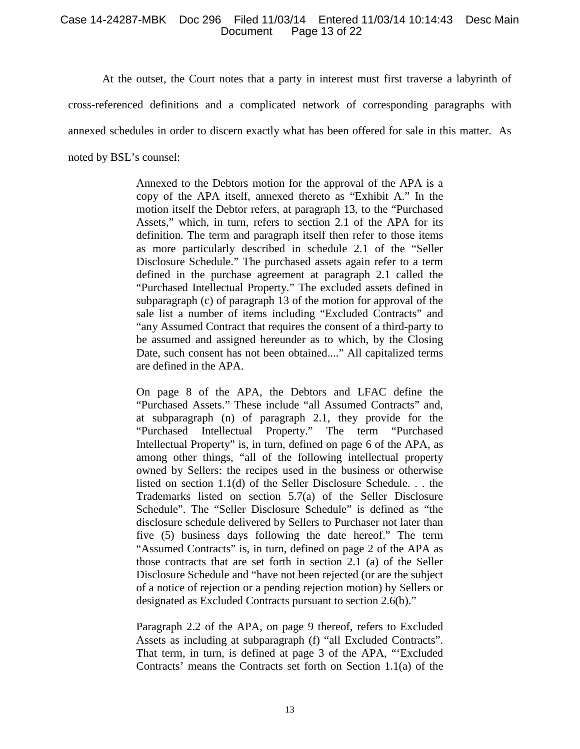## Case 14-24287-MBK Doc 296 Filed 11/03/14 Entered 11/03/14 10:14:43 Desc Main Document Page 13 of 22

At the outset, the Court notes that a party in interest must first traverse a labyrinth of cross-referenced definitions and a complicated network of corresponding paragraphs with annexed schedules in order to discern exactly what has been offered for sale in this matter. As noted by BSL's counsel:

> Annexed to the Debtors motion for the approval of the APA is a copy of the APA itself, annexed thereto as "Exhibit A." In the motion itself the Debtor refers, at paragraph 13, to the "Purchased Assets," which, in turn, refers to section 2.1 of the APA for its definition. The term and paragraph itself then refer to those items as more particularly described in schedule 2.1 of the "Seller Disclosure Schedule." The purchased assets again refer to a term defined in the purchase agreement at paragraph 2.1 called the "Purchased Intellectual Property." The excluded assets defined in subparagraph (c) of paragraph 13 of the motion for approval of the sale list a number of items including "Excluded Contracts" and "any Assumed Contract that requires the consent of a third-party to be assumed and assigned hereunder as to which, by the Closing Date, such consent has not been obtained...." All capitalized terms are defined in the APA.

> On page 8 of the APA, the Debtors and LFAC define the "Purchased Assets." These include "all Assumed Contracts" and, at subparagraph (n) of paragraph 2.1, they provide for the "Purchased Intellectual Property." The term "Purchased Intellectual Property" is, in turn, defined on page 6 of the APA, as among other things, "all of the following intellectual property owned by Sellers: the recipes used in the business or otherwise listed on section 1.1(d) of the Seller Disclosure Schedule. . . the Trademarks listed on section 5.7(a) of the Seller Disclosure Schedule". The "Seller Disclosure Schedule" is defined as "the disclosure schedule delivered by Sellers to Purchaser not later than five (5) business days following the date hereof." The term "Assumed Contracts" is, in turn, defined on page 2 of the APA as those contracts that are set forth in section 2.1 (a) of the Seller Disclosure Schedule and "have not been rejected (or are the subject of a notice of rejection or a pending rejection motion) by Sellers or designated as Excluded Contracts pursuant to section 2.6(b)."

> Paragraph 2.2 of the APA, on page 9 thereof, refers to Excluded Assets as including at subparagraph (f) "all Excluded Contracts". That term, in turn, is defined at page 3 of the APA, "'Excluded Contracts' means the Contracts set forth on Section 1.1(a) of the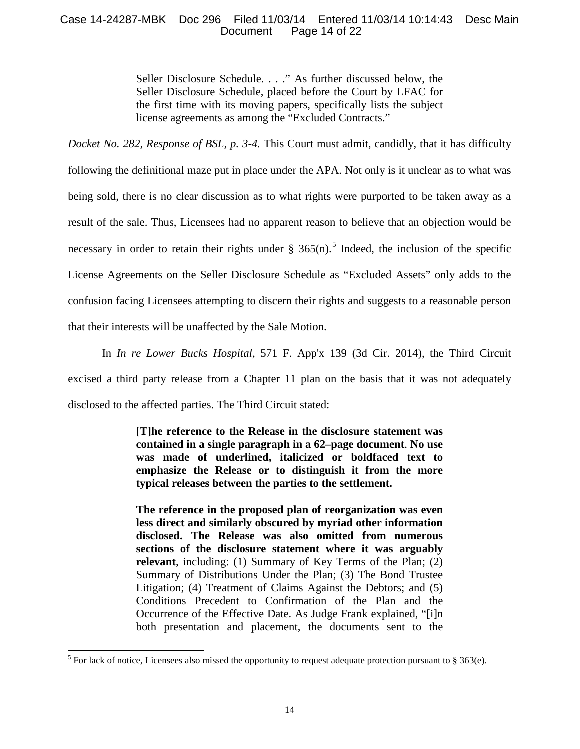## Case 14-24287-MBK Doc 296 Filed 11/03/14 Entered 11/03/14 10:14:43 Desc Main Page 14 of 22

Seller Disclosure Schedule. . . ." As further discussed below, the Seller Disclosure Schedule, placed before the Court by LFAC for the first time with its moving papers, specifically lists the subject license agreements as among the "Excluded Contracts."

*Docket No. 282, Response of BSL, p. 3-4.* This Court must admit, candidly, that it has difficulty

following the definitional maze put in place under the APA. Not only is it unclear as to what was being sold, there is no clear discussion as to what rights were purported to be taken away as a result of the sale. Thus, Licensees had no apparent reason to believe that an objection would be necessary in order to retain their rights under  $\S 365(n)$  $\S 365(n)$  $\S 365(n)$ .<sup>5</sup> Indeed, the inclusion of the specific License Agreements on the Seller Disclosure Schedule as "Excluded Assets" only adds to the confusion facing Licensees attempting to discern their rights and suggests to a reasonable person that their interests will be unaffected by the Sale Motion.

In *In re Lower Bucks Hospital*, 571 F. App'x 139 (3d Cir. 2014), the Third Circuit excised a third party release from a Chapter 11 plan on the basis that it was not adequately disclosed to the affected parties. The Third Circuit stated:

> **[T]he reference to the Release in the disclosure statement was contained in a single paragraph in a 62–page document**. **No use was made of underlined, italicized or boldfaced text to emphasize the Release or to distinguish it from the more typical releases between the parties to the settlement.**

> **The reference in the proposed plan of reorganization was even less direct and similarly obscured by myriad other information disclosed. The Release was also omitted from numerous sections of the disclosure statement where it was arguably relevant**, including: (1) Summary of Key Terms of the Plan; (2) Summary of Distributions Under the Plan; (3) The Bond Trustee Litigation; (4) Treatment of Claims Against the Debtors; and (5) Conditions Precedent to Confirmation of the Plan and the Occurrence of the Effective Date. As Judge Frank explained, "[i]n both presentation and placement, the documents sent to the

<span id="page-13-0"></span><sup>&</sup>lt;sup>5</sup> For lack of notice, Licensees also missed the opportunity to request adequate protection pursuant to § 363(e).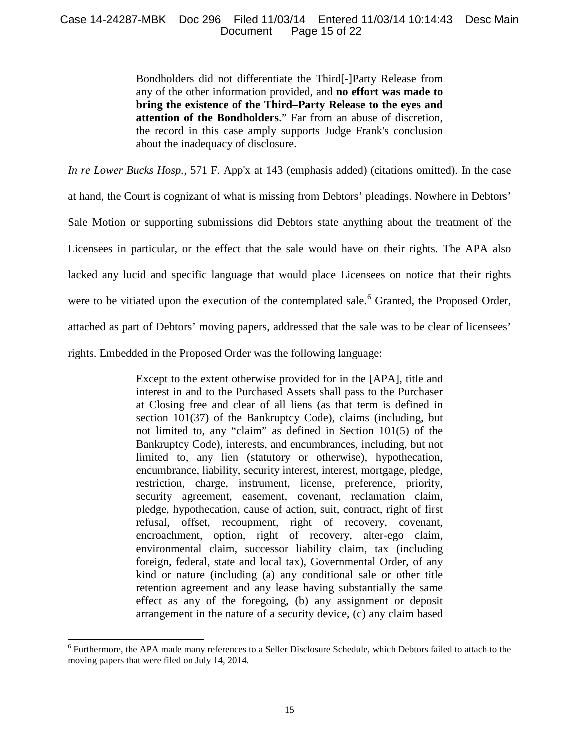## Case 14-24287-MBK Doc 296 Filed 11/03/14 Entered 11/03/14 10:14:43 Desc Main Page 15 of 22

Bondholders did not differentiate the Third[-]Party Release from any of the other information provided, and **no effort was made to bring the existence of the Third–Party Release to the eyes and attention of the Bondholders**." Far from an abuse of discretion, the record in this case amply supports Judge Frank's conclusion about the inadequacy of disclosure.

*In re Lower Bucks Hosp.,* 571 F. App'x at 143 (emphasis added) (citations omitted). In the case at hand, the Court is cognizant of what is missing from Debtors' pleadings. Nowhere in Debtors'

Sale Motion or supporting submissions did Debtors state anything about the treatment of the

Licensees in particular, or the effect that the sale would have on their rights. The APA also

lacked any lucid and specific language that would place Licensees on notice that their rights

were to be vitiated upon the execution of the contemplated sale.<sup>[6](#page-14-0)</sup> Granted, the Proposed Order,

attached as part of Debtors' moving papers, addressed that the sale was to be clear of licensees'

rights. Embedded in the Proposed Order was the following language:

Except to the extent otherwise provided for in the [APA], title and interest in and to the Purchased Assets shall pass to the Purchaser at Closing free and clear of all liens (as that term is defined in section 101(37) of the Bankruptcy Code), claims (including, but not limited to, any "claim" as defined in Section 101(5) of the Bankruptcy Code), interests, and encumbrances, including, but not limited to, any lien (statutory or otherwise), hypothecation, encumbrance, liability, security interest, interest, mortgage, pledge, restriction, charge, instrument, license, preference, priority, security agreement, easement, covenant, reclamation claim, pledge, hypothecation, cause of action, suit, contract, right of first refusal, offset, recoupment, right of recovery, covenant, encroachment, option, right of recovery, alter-ego claim, environmental claim, successor liability claim, tax (including foreign, federal, state and local tax), Governmental Order, of any kind or nature (including (a) any conditional sale or other title retention agreement and any lease having substantially the same effect as any of the foregoing, (b) any assignment or deposit arrangement in the nature of a security device, (c) any claim based

<span id="page-14-0"></span> <sup>6</sup> Furthermore, the APA made many references to a Seller Disclosure Schedule, which Debtors failed to attach to the moving papers that were filed on July 14, 2014.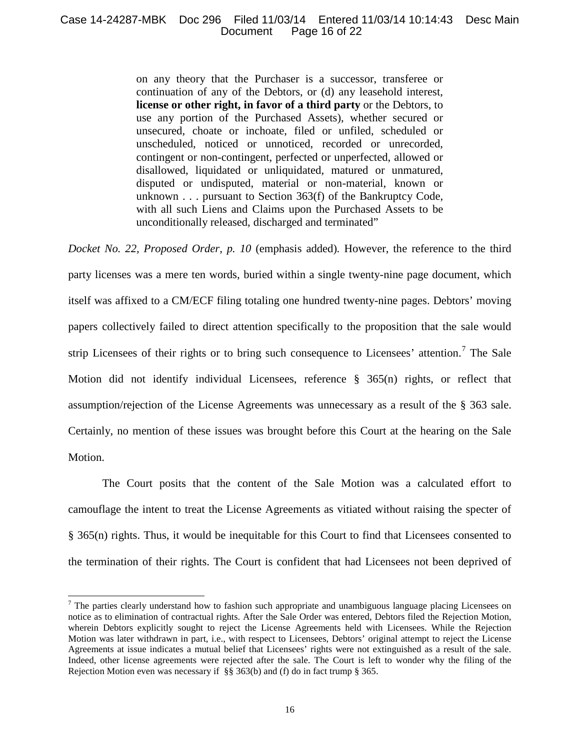#### Case 14-24287-MBK Doc 296 Filed 11/03/14 Entered 11/03/14 10:14:43 Desc Main Page 16 of 22

on any theory that the Purchaser is a successor, transferee or continuation of any of the Debtors, or (d) any leasehold interest, **license or other right, in favor of a third party** or the Debtors, to use any portion of the Purchased Assets), whether secured or unsecured, choate or inchoate, filed or unfiled, scheduled or unscheduled, noticed or unnoticed, recorded or unrecorded, contingent or non-contingent, perfected or unperfected, allowed or disallowed, liquidated or unliquidated, matured or unmatured, disputed or undisputed, material or non-material, known or unknown . . . pursuant to Section 363(f) of the Bankruptcy Code, with all such Liens and Claims upon the Purchased Assets to be unconditionally released, discharged and terminated"

*Docket No. 22, Proposed Order, p. 10* (emphasis added)*.* However, the reference to the third party licenses was a mere ten words, buried within a single twenty-nine page document, which itself was affixed to a CM/ECF filing totaling one hundred twenty-nine pages. Debtors' moving papers collectively failed to direct attention specifically to the proposition that the sale would strip Licensees of their rights or to bring such consequence to Licensees' attention.<sup>[7](#page-15-0)</sup> The Sale Motion did not identify individual Licensees, reference § 365(n) rights, or reflect that assumption/rejection of the License Agreements was unnecessary as a result of the § 363 sale. Certainly, no mention of these issues was brought before this Court at the hearing on the Sale Motion.

The Court posits that the content of the Sale Motion was a calculated effort to camouflage the intent to treat the License Agreements as vitiated without raising the specter of § 365(n) rights. Thus, it would be inequitable for this Court to find that Licensees consented to the termination of their rights. The Court is confident that had Licensees not been deprived of

<span id="page-15-0"></span><sup>&</sup>lt;sup>7</sup> The parties clearly understand how to fashion such appropriate and unambiguous language placing Licensees on notice as to elimination of contractual rights. After the Sale Order was entered, Debtors filed the Rejection Motion, wherein Debtors explicitly sought to reject the License Agreements held with Licensees. While the Rejection Motion was later withdrawn in part, i.e., with respect to Licensees, Debtors' original attempt to reject the License Agreements at issue indicates a mutual belief that Licensees' rights were not extinguished as a result of the sale. Indeed, other license agreements were rejected after the sale. The Court is left to wonder why the filing of the Rejection Motion even was necessary if §§ 363(b) and (f) do in fact trump § 365.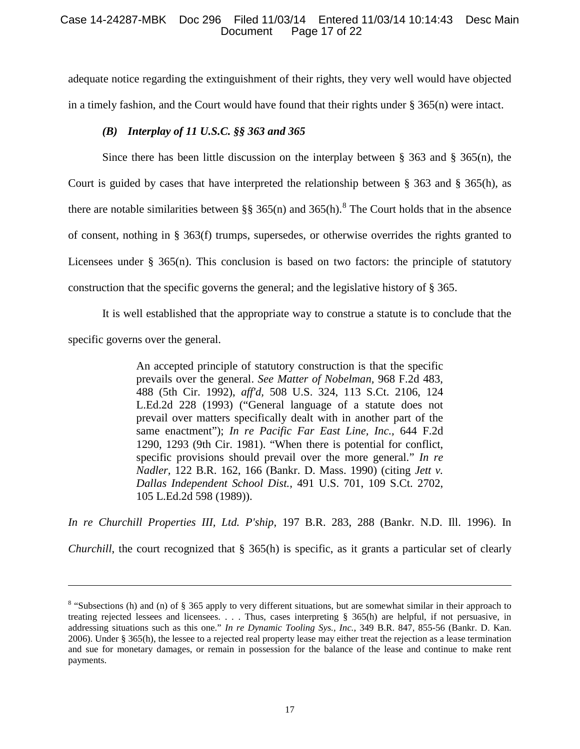## Case 14-24287-MBK Doc 296 Filed 11/03/14 Entered 11/03/14 10:14:43 Desc Main Page 17 of 22

adequate notice regarding the extinguishment of their rights, they very well would have objected in a timely fashion, and the Court would have found that their rights under § 365(n) were intact.

## *(B) Interplay of 11 U.S.C. §§ 363 and 365*

 $\overline{a}$ 

Since there has been little discussion on the interplay between  $\S$  363 and  $\S$  365(n), the Court is guided by cases that have interpreted the relationship between  $\S$  363 and  $\S$  365(h), as there are notable similarities between §§ 365(n) and 365(h).<sup>[8](#page-16-0)</sup> The Court holds that in the absence of consent, nothing in § 363(f) trumps, supersedes, or otherwise overrides the rights granted to Licensees under §  $365(n)$ . This conclusion is based on two factors: the principle of statutory construction that the specific governs the general; and the legislative history of § 365.

It is well established that the appropriate way to construe a statute is to conclude that the specific governs over the general.

> An accepted principle of statutory construction is that the specific prevails over the general. *See Matter of Nobelman,* 968 F.2d 483, 488 (5th Cir. 1992), *aff'd,* 508 U.S. 324, 113 S.Ct. 2106, 124 L.Ed.2d 228 (1993) ("General language of a statute does not prevail over matters specifically dealt with in another part of the same enactment"); *In re Pacific Far East Line, Inc.,* 644 F.2d 1290, 1293 (9th Cir. 1981). "When there is potential for conflict, specific provisions should prevail over the more general." *In re Nadler,* 122 B.R. 162, 166 (Bankr. D. Mass. 1990) (citing *Jett v. Dallas Independent School Dist.,* 491 U.S. 701, 109 S.Ct. 2702, 105 L.Ed.2d 598 (1989)).

*In re Churchill Properties III, Ltd. P'ship*, 197 B.R. 283, 288 (Bankr. N.D. Ill. 1996). In

*Churchill*, the court recognized that § 365(h) is specific, as it grants a particular set of clearly

<span id="page-16-0"></span><sup>&</sup>lt;sup>8</sup> "Subsections (h) and (n) of § 365 apply to very different situations, but are somewhat similar in their approach to treating rejected lessees and licensees. . . . Thus, cases interpreting § 365(h) are helpful, if not persuasive, in addressing situations such as this one." *In re Dynamic Tooling Sys., Inc.,* 349 B.R. 847, 855-56 (Bankr. D. Kan. 2006). Under § 365(h), the lessee to a rejected real property lease may either treat the rejection as a lease termination and sue for monetary damages, or remain in possession for the balance of the lease and continue to make rent payments.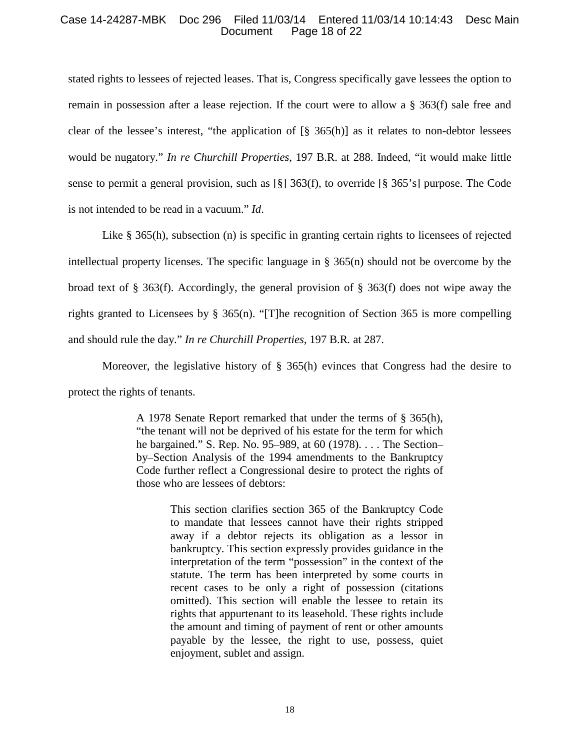## Case 14-24287-MBK Doc 296 Filed 11/03/14 Entered 11/03/14 10:14:43 Desc Main Page 18 of 22

stated rights to lessees of rejected leases. That is, Congress specifically gave lessees the option to remain in possession after a lease rejection. If the court were to allow a § 363(f) sale free and clear of the lessee's interest, "the application of [§ 365(h)] as it relates to non-debtor lessees would be nugatory." *In re Churchill Properties*, 197 B.R. at 288. Indeed, "it would make little sense to permit a general provision, such as [§] 363(f), to override [§ 365's] purpose. The Code is not intended to be read in a vacuum." *Id*.

Like § 365(h), subsection (n) is specific in granting certain rights to licensees of rejected intellectual property licenses. The specific language in § 365(n) should not be overcome by the broad text of § 363(f). Accordingly, the general provision of § 363(f) does not wipe away the rights granted to Licensees by § 365(n). "[T]he recognition of Section 365 is more compelling and should rule the day." *In re Churchill Properties,* 197 B.R*.* at 287.

Moreover, the legislative history of § 365(h) evinces that Congress had the desire to protect the rights of tenants.

> A 1978 Senate Report remarked that under the terms of § 365(h), "the tenant will not be deprived of his estate for the term for which he bargained." S. Rep. No. 95–989, at 60 (1978). . . . The Section– by–Section Analysis of the 1994 amendments to the Bankruptcy Code further reflect a Congressional desire to protect the rights of those who are lessees of debtors:

> > This section clarifies section 365 of the Bankruptcy Code to mandate that lessees cannot have their rights stripped away if a debtor rejects its obligation as a lessor in bankruptcy. This section expressly provides guidance in the interpretation of the term "possession" in the context of the statute. The term has been interpreted by some courts in recent cases to be only a right of possession (citations omitted). This section will enable the lessee to retain its rights that appurtenant to its leasehold. These rights include the amount and timing of payment of rent or other amounts payable by the lessee, the right to use, possess, quiet enjoyment, sublet and assign.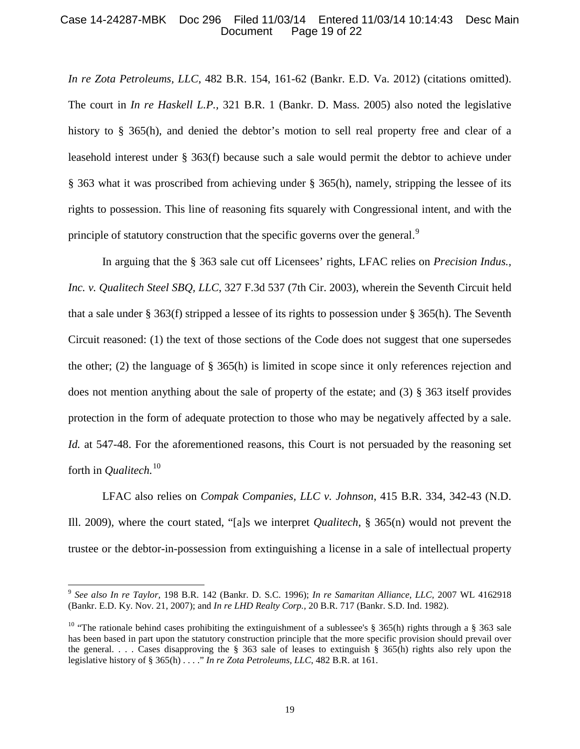#### Case 14-24287-MBK Doc 296 Filed 11/03/14 Entered 11/03/14 10:14:43 Desc Main Page 19 of 22

*In re Zota Petroleums, LLC*, 482 B.R. 154, 161-62 (Bankr. E.D. Va. 2012) (citations omitted). The court in *In re Haskell L.P.,* 321 B.R. 1 (Bankr. D. Mass. 2005) also noted the legislative history to § 365(h), and denied the debtor's motion to sell real property free and clear of a leasehold interest under § 363(f) because such a sale would permit the debtor to achieve under § 363 what it was proscribed from achieving under § 365(h), namely, stripping the lessee of its rights to possession. This line of reasoning fits squarely with Congressional intent, and with the principle of statutory construction that the specific governs over the general.<sup>[9](#page-18-0)</sup>

In arguing that the § 363 sale cut off Licensees' rights, LFAC relies on *Precision Indus., Inc. v. Qualitech Steel SBQ, LLC*, 327 F.3d 537 (7th Cir. 2003), wherein the Seventh Circuit held that a sale under § 363(f) stripped a lessee of its rights to possession under § 365(h). The Seventh Circuit reasoned: (1) the text of those sections of the Code does not suggest that one supersedes the other; (2) the language of  $\S 365(h)$  is limited in scope since it only references rejection and does not mention anything about the sale of property of the estate; and (3) § 363 itself provides protection in the form of adequate protection to those who may be negatively affected by a sale. *Id.* at 547-48. For the aforementioned reasons, this Court is not persuaded by the reasoning set forth in *Qualitech.*[10](#page-18-1)

LFAC also relies on *Compak Companies, LLC v. Johnson*, 415 B.R. 334, 342-43 (N.D. Ill. 2009)*,* where the court stated, "[a]s we interpret *Qualitech*, § 365(n) would not prevent the trustee or the debtor-in-possession from extinguishing a license in a sale of intellectual property

<span id="page-18-0"></span> <sup>9</sup> *See also In re Taylor,* 198 B.R. 142 (Bankr. D. S.C. 1996); *In re Samaritan Alliance, LLC,* 2007 WL 4162918 (Bankr. E.D. Ky. Nov. 21, 2007); and *In re LHD Realty Corp.,* 20 B.R. 717 (Bankr. S.D. Ind. 1982).

<span id="page-18-1"></span><sup>&</sup>lt;sup>10</sup> "The rationale behind cases prohibiting the extinguishment of a sublessee's [§ 365\(h\)](https://a.next.westlaw.com/Link/Document/FullText?findType=L&pubNum=1000546&cite=11USCAS365&originationContext=document&transitionType=DocumentItem&contextData=%28sc.UserEnteredCitation%29#co_pp_f383000077b35) rights through a [§ 363](https://a.next.westlaw.com/Link/Document/FullText?findType=L&pubNum=1000546&cite=11USCAS363&originatingDoc=Icabcdeff0dea11e28757b822cf994add&refType=LQ&originationContext=document&transitionType=DocumentItem&contextData=%28sc.UserEnteredCitation%29) sale has been based in part upon the statutory construction principle that the more specific provision should prevail over the general. . . . Cases disapproving the [§ 363](https://a.next.westlaw.com/Link/Document/FullText?findType=L&pubNum=1000546&cite=11USCAS363&originatingDoc=Icabcdeff0dea11e28757b822cf994add&refType=LQ&originationContext=document&transitionType=DocumentItem&contextData=%28sc.UserEnteredCitation%29) sale of leases to extinguish [§ 365\(h\)](https://a.next.westlaw.com/Link/Document/FullText?findType=L&pubNum=1000546&cite=11USCAS365&originationContext=document&transitionType=DocumentItem&contextData=%28sc.UserEnteredCitation%29#co_pp_f383000077b35) rights also rely upon the legislative history o[f § 365\(h\)](https://a.next.westlaw.com/Link/Document/FullText?findType=L&pubNum=1000546&cite=11USCAS365&originationContext=document&transitionType=DocumentItem&contextData=%28sc.UserEnteredCitation%29#co_pp_f383000077b35) . . . ." *In re Zota Petroleums, LLC*, 482 B.R. at 161.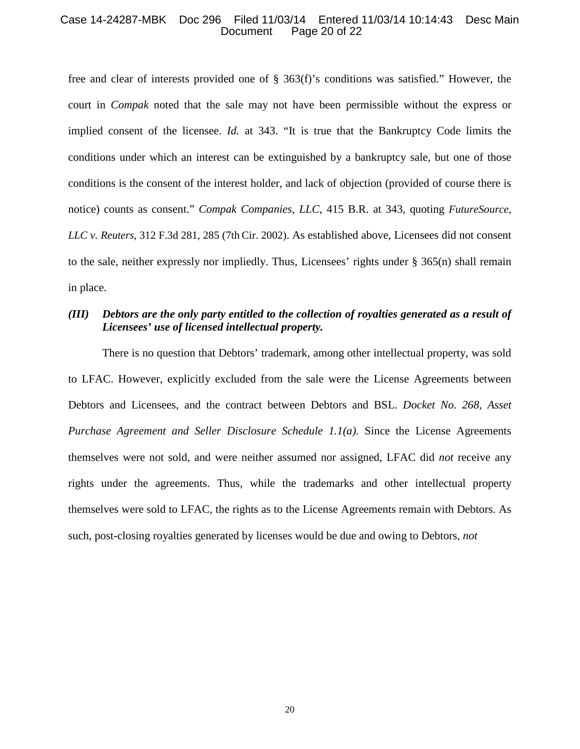### Case 14-24287-MBK Doc 296 Filed 11/03/14 Entered 11/03/14 10:14:43 Desc Main Page 20 of 22

free and clear of interests provided one of § 363(f)'s conditions was satisfied." However, the court in *Compak* noted that the sale may not have been permissible without the express or implied consent of the licensee. *Id.* at 343. "It is true that the Bankruptcy Code limits the conditions under which an interest can be extinguished by a bankruptcy sale, but one of those conditions is the consent of the interest holder, and lack of objection (provided of course there is notice) counts as consent." *Compak Companies, LLC*, 415 B.R. at 343, quoting *FutureSource, LLC v. Reuters*, 312 F.3d 281, 285 (7th Cir. 2002). As established above, Licensees did not consent to the sale, neither expressly nor impliedly. Thus, Licensees' rights under § 365(n) shall remain in place.

# *(III) Debtors are the only party entitled to the collection of royalties generated as a result of Licensees' use of licensed intellectual property.*

There is no question that Debtors' trademark, among other intellectual property, was sold to LFAC. However, explicitly excluded from the sale were the License Agreements between Debtors and Licensees, and the contract between Debtors and BSL. *Docket No. 268, Asset Purchase Agreement and Seller Disclosure Schedule 1.1(a).* Since the License Agreements themselves were not sold, and were neither assumed nor assigned, LFAC did *not* receive any rights under the agreements. Thus, while the trademarks and other intellectual property themselves were sold to LFAC, the rights as to the License Agreements remain with Debtors. As such, post-closing royalties generated by licenses would be due and owing to Debtors, *not*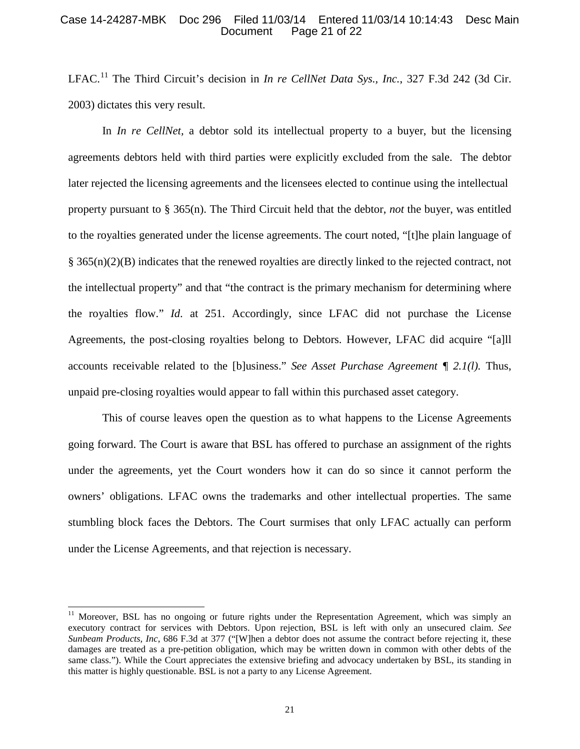#### Case 14-24287-MBK Doc 296 Filed 11/03/14 Entered 11/03/14 10:14:43 Desc Main Page 21 of 22

LFAC.<sup>[11](#page-20-0)</sup> The Third Circuit's decision in *In re CellNet Data Sys., Inc.*, 327 F.3d 242 (3d Cir. 2003) dictates this very result.

In *In re CellNet*, a debtor sold its intellectual property to a buyer, but the licensing agreements debtors held with third parties were explicitly excluded from the sale. The debtor later rejected the licensing agreements and the licensees elected to continue using the intellectual property pursuant to § 365(n). The Third Circuit held that the debtor, *not* the buyer, was entitled to the royalties generated under the license agreements. The court noted, "[t]he plain language of § 365(n)(2)(B) indicates that the renewed royalties are directly linked to the rejected contract, not the intellectual property" and that "the contract is the primary mechanism for determining where the royalties flow." *Id*. at 251. Accordingly, since LFAC did not purchase the License Agreements, the post-closing royalties belong to Debtors. However, LFAC did acquire "[a]ll accounts receivable related to the [b]usiness." *See Asset Purchase Agreement ¶ 2.1(l).* Thus, unpaid pre-closing royalties would appear to fall within this purchased asset category.

This of course leaves open the question as to what happens to the License Agreements going forward. The Court is aware that BSL has offered to purchase an assignment of the rights under the agreements, yet the Court wonders how it can do so since it cannot perform the owners' obligations. LFAC owns the trademarks and other intellectual properties. The same stumbling block faces the Debtors. The Court surmises that only LFAC actually can perform under the License Agreements, and that rejection is necessary.

<span id="page-20-0"></span><sup>&</sup>lt;sup>11</sup> Moreover, BSL has no ongoing or future rights under the Representation Agreement, which was simply an executory contract for services with Debtors. Upon rejection, BSL is left with only an unsecured claim. *See Sunbeam Products, Inc*, 686 F.3d at 377 ("[W]hen a debtor does not assume the contract before rejecting it, these damages are treated as a pre-petition obligation, which may be written down in common with other debts of the same class."). While the Court appreciates the extensive briefing and advocacy undertaken by BSL, its standing in this matter is highly questionable. BSL is not a party to any License Agreement.